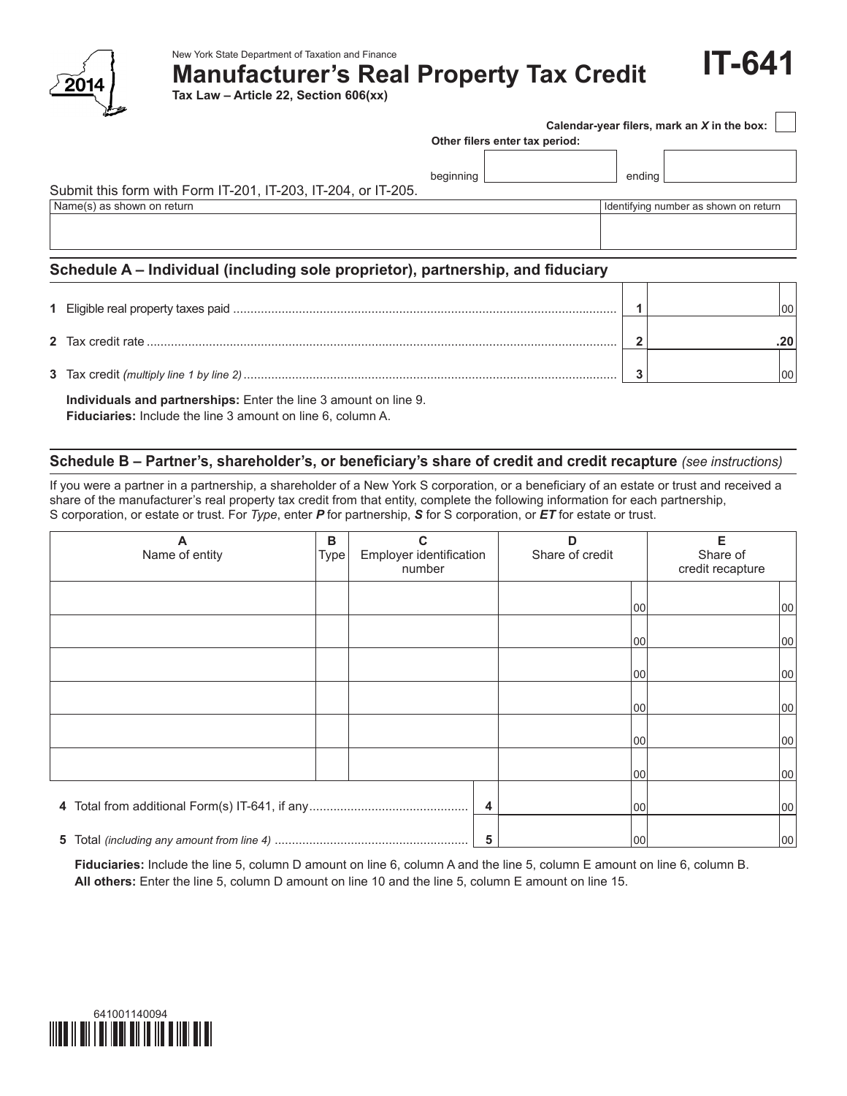

New York State Department of Taxation and Finance

**Manufacturer's Real Property Tax Credit**

**Tax Law – Article 22, Section 606(xx)**

| Calendar-year filers, mark an X in the box: |  |  |  |  |  |  |
|---------------------------------------------|--|--|--|--|--|--|
|---------------------------------------------|--|--|--|--|--|--|

| Other filers enter tax period: |  |  |
|--------------------------------|--|--|
|--------------------------------|--|--|

 $beginingright$  beginning  $\vert$ 

# Submit this form with Form IT‑201, IT‑203, IT‑204, or IT‑205.

Name(s) as shown on return in the term in the state of the state of the state of the state of the state of the state of the state of the state of the state of the state of the state of the state of the state of the state o

**IT-641**

## **Schedule A – Individual (including sole proprietor), partnership, and fiduciary**

|  | 100 |
|--|-----|
|  |     |
|  |     |

 **Individuals and partnerships:** Enter the line 3 amount on line 9.

 **Fiduciaries:** Include the line 3 amount on line 6, column A.

### **Schedule B – Partner's, shareholder's, or beneficiary's share of credit and credit recapture** *(see instructions)*

If you were a partner in a partnership, a shareholder of a New York S corporation, or a beneficiary of an estate or trust and received a share of the manufacturer's real property tax credit from that entity, complete the following information for each partnership, S corporation, or estate or trust. For *Type*, enter *P* for partnership, *S* for S corporation, or *ET* for estate or trust.

| Name of entity | в<br>Type | С<br>Employer identification<br>number | D<br>Share of credit |     | Е<br>Share of<br>credit recapture |
|----------------|-----------|----------------------------------------|----------------------|-----|-----------------------------------|
|                |           |                                        |                      | 00  | 00                                |
|                |           |                                        |                      | 100 | 00                                |
|                |           |                                        |                      | 100 | 00                                |
|                |           |                                        |                      | 00  | 00                                |
|                |           |                                        |                      | 100 | 00                                |
|                |           |                                        |                      | 00  | 00                                |
|                |           | 4                                      |                      | 100 | 00                                |
|                |           | 5                                      |                      | 100 | 00                                |

 **Fiduciaries:** Include the line 5, column D amount on line 6, column A and the line 5, column E amount on line 6, column B. **All others:** Enter the line 5, column D amount on line 10 and the line 5, column E amount on line 15.

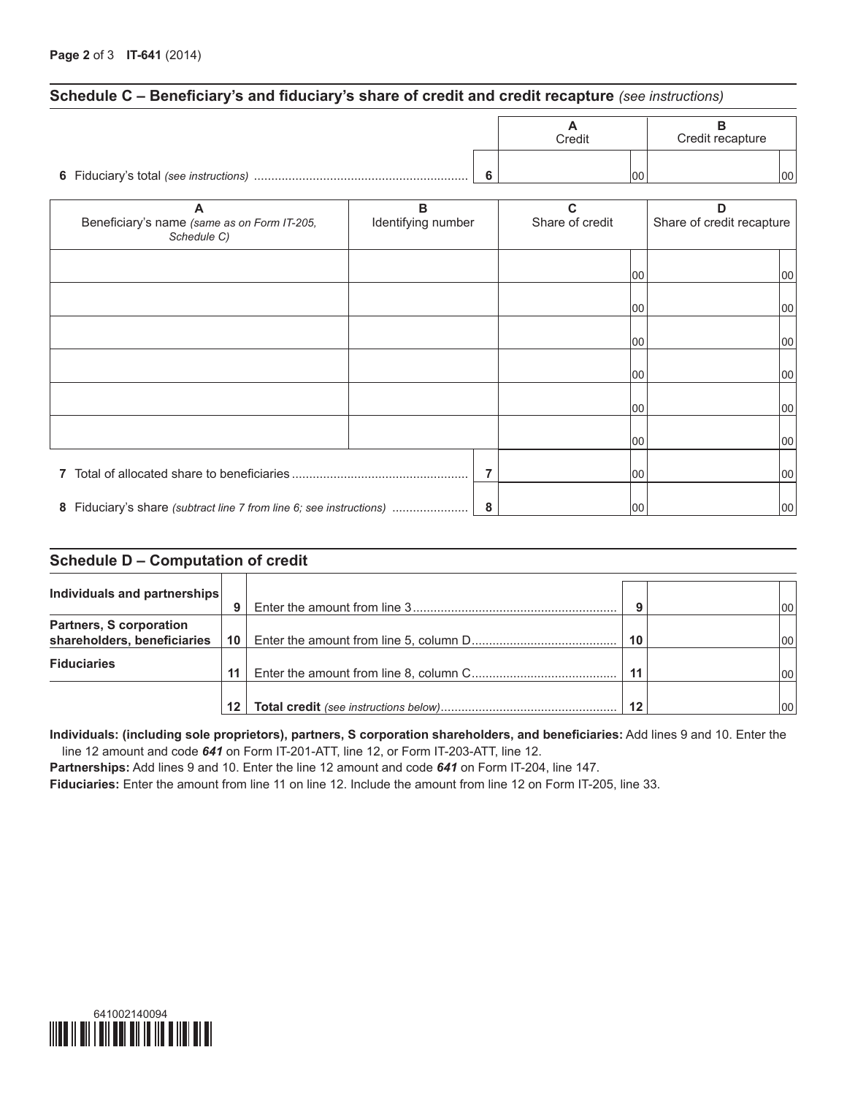### **Schedule C – Beneficiary's and fiduciary's share of credit and credit recapture** *(see instructions)*

|   | Credit |     | Credit recapture |     |
|---|--------|-----|------------------|-----|
| c |        | 100 |                  | 100 |

| Beneficiary's name (same as on Form IT-205,<br>Schedule C) | в<br>Identifying number |   | C<br>Share of credit |     | D<br>Share of credit recapture |
|------------------------------------------------------------|-------------------------|---|----------------------|-----|--------------------------------|
|                                                            |                         |   |                      | 100 | 00                             |
|                                                            |                         |   |                      | 100 | 00                             |
|                                                            |                         |   |                      | 100 | 00                             |
|                                                            |                         |   |                      | 100 | 00                             |
|                                                            |                         |   |                      | 100 | 00                             |
|                                                            |                         |   |                      | 100 | 00                             |
|                                                            |                         |   |                      | 100 | 00                             |
|                                                            |                         | 8 |                      | 100 | 100                            |

### **Schedule D – Computation of credit**

| Individuals and partnerships   |                 |    |     |
|--------------------------------|-----------------|----|-----|
|                                | 9               |    |     |
| <b>Partners, S corporation</b> |                 |    |     |
| shareholders, beneficiaries    | 10              | 10 | 100 |
| <b>Fiduciaries</b>             |                 |    |     |
|                                | 11              | 11 | 100 |
|                                |                 |    |     |
|                                | 12 <sup>1</sup> | 12 | 100 |

**Individuals: (including sole proprietors), partners, S corporation shareholders, and beneficiaries:** Add lines 9 and 10. Enter the line 12 amount and code *641* on Form IT-201-ATT, line 12, or Form IT-203-ATT, line 12.

**Partnerships:** Add lines 9 and 10. Enter the line 12 amount and code *641* on Form IT-204, line 147.

**Fiduciaries:** Enter the amount from line 11 on line 12. Include the amount from line 12 on Form IT-205, line 33.